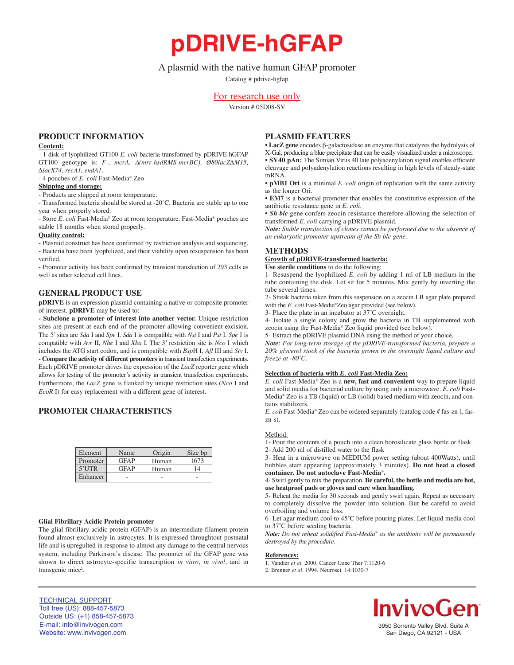A plasmid with the native human GFAP promoter

**pDRIVE-hGFAP**

Catalog # pdrive-hgfap

# For research use only

Version # 05D08-SV

## **PRODUCT INFORMATION**

#### **Content:**

- 1 disk of lyophilized GT100 *E. coli* bacteria transformed by pDRIVE-hGFAP GT100 genotype is: *F-, mcrA,* ∆*(mrr-hsdRMS-mcrBC), Ø80lacZ∆M15, ∆lacX74, recA1, endA1.*

- 4 pouches of *E. coli* Fast-Media® Zeo

## **Shipping and storage:**

- Products are shipped at room temperature.

- Transformed bacteria should be stored at -20˚C. Bacteria are stable up to one year when properly stored. - Store *E. coli* Fast-Media® Zeo at room temperature. Fast-Media® pouches are

stable 18 months when stored properly.

## **Quality control:**

- Plasmid construct has been confirmed by restriction analysis and sequencing. - Bacteria have been lyophilized, and their viability upon resuspension has been verified.

- Promoter activity has been confirmed by transient transfection of 293 cells as well as other selected cell lines.

## **GENERAL PRODUCT USE**

**pDRIVE** is an expression plasmid containing a native or composite promoter of interest. **pDRIVE** may be used to:

**- Subclone a promoter of interest into another vector.** Unique restriction sites are present at each end of the promoter allowing convenient excision. The 5' sites are *Sda* I and *Spe* I. *Sda* I is compatible with *Nsi* I and *Pst* I. *Spe* I is compatible with *Avr* II, *Nhe* I and *Xba* I. The 3' restriction site is *Nco* I which includes the ATG start codon, and is compatible with *Bsp*H I, *Afl* III and *Sty* I. **- Compare the activity of different promoters**in transient transfection experiments. Each pDRIVE promoter drives the expression of the *LacZ* reporter gene which allows for testing of the promoter's activity in transient transfection experiments. Furthermore, the *LacZ* gene is flanked by unique restriction sites (*Nco* I and *EcoR* I) for easy replacement with a different gene of interest.

# **PROMOTER CHARACTERISTICS**

| Element  | Name        | Origin | Size bp |
|----------|-------------|--------|---------|
| Promoter | <b>GFAP</b> | Human  | 1673    |
| $5'$ UTR | <b>GFAP</b> | Human  | 14      |
| Enhancer |             |        |         |

#### **Glial Fibrillary Acidic Protein promoter**

The glial fibrillary acidic protein (GFAP) is an intermediate filament protein found almost exclusively in astrocytes. It is expressed throughtout postnatal life and is upregulted in response to almost any damage to the central nervous system, including Parkinson's disease. The promoter of the GFAP gene was shown to direct astrocyte-specific transcription *in vitro*, *in vivo*<sup>1</sup>, and in transgenic mice<sup>2</sup>.

## **PLASMID FEATURES**

• **LacZ gene** encodes β-galactosidase an enzyme that catalyzes the hydrolysis of X-Gal, producing a blue precipitate that can be easily visualized under a microscope**.** • **SV40 pAn:** The Simian Virus 40 late polyadenylation signal enables efficient cleavage and polyadenylation reactions resulting in high levels of steady-state mRNA.

• **pMB1 Ori** is a minimal *E. coli* origin of replication with the same activity as the longer Ori.

• **EM7** is a bacterial promoter that enables the constitutive expression of the antibiotic resistance gene in *E. coli.*

• *Sh ble* gene confers zeocin resistance therefore allowing the selection of transformed *E. coli* carrying a pDRIVE plasmid.

*Note: Stable transfection of clones cannot be performed due to the absence of an eukaryotic promoter upstream of the Sh ble gene.*

# **METHODS**

**Growth of pDRIVE-transformed bacteria:**

**Use sterile conditions** to do the following: 1- Resuspend the lyophilized *E. coli* by adding 1 ml of LB medium in the tube containing the disk. Let sit for 5 minutes. Mix gently by inverting the

tube several times. 2- Streak bacteria taken from this suspension on a zeocin LB agar plate prepared with the *E. coli* Fast-Media®Zeo agar provided (see below).

3- Place the plate in an incubator at 37˚C overnight.

4- Isolate a single colony and grow the bacteria in TB supplemented with zeocin using the Fast-Media® Zeo liquid provided (see below).

5- Extract the pDRIVE plasmid DNA using the method of your choice.

*Note: For long-term storage of the pDRIVE-transformed bacteria, prepare a 20% glycerol stock of the bacteria grown in the overnight liquid culture and freeze at -80˚C.*

#### **Selection of bacteria with** *E. coli* **Fast-Media Zeo:**

*E. coli* Fast-Media® Zeo is a **new, fast and convenient** way to prepare liquid and solid media for bacterial culture by using only a microwave. *E. coli* Fast-Media® Zeo is a TB (liquid) or LB (solid) based medium with zeocin, and contains stabilizers.

*E. coli* Fast-Media® Zeo can be ordered separately (catalog code # fas-zn-l, faszn-s).

#### Method:

1- Pour the contents of a pouch into a clean borosilicate glass bottle or flask.

2- Add 200 ml of distilled water to the flask

3- Heat in a microwave on MEDIUM power setting (about 400Watts), until bubbles start appearing (approximately 3 minutes). **Do not heat a closed container. Do not autoclave Fast-Media**®**.**

4- Swirl gently to mix the preparation. **Be careful, the bottle and media are hot, use heatproof pads or gloves and care when handling.**

5- Reheat the media for 30 seconds and gently swirl again. Repeat as necessary to completely dissolve the powder into solution. But be careful to avoid overboiling and volume loss.

6- Let agar medium cool to 45˚C before pouring plates. Let liquid media cool to 37˚C before seeding bacteria.

*Note: Do not reheat solidified Fast-Media*® *as the antibiotic will be permanently destroyed by the procedure.*

#### **References:**

1. Vandier *et al.* 2000. Cancer Gene Ther 7:1120-6

2. Brenner *et al*. 1994. Neurosci. 14:1030-7



# **InvivoGen**

3950 Sorrento Valley Blvd. Suite A San Diego, CA 92121 - USA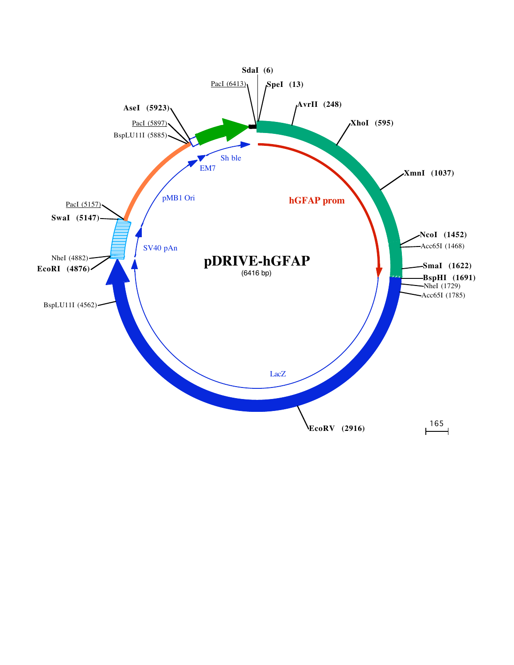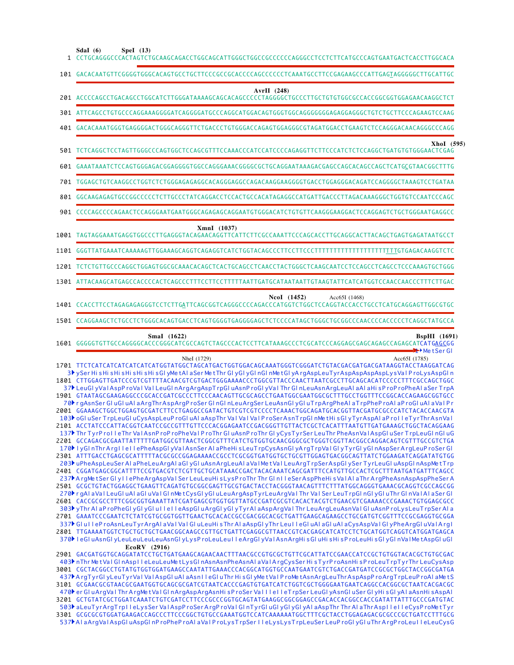**SdaI (6) SpeI (13)**

| эчаг тог<br>SPEI(13)<br>1 CCTGCAGGGCCCACTAGTCTGCAAGCAGACCTGGCAGCATTGGGCTGGCCGCCCCCCAGGGCCTCCTCTTCATGCCCAGTGAATGACTCACCTTGGCACA                                                                                                                                                                                                                                                                                                                                                                                                                                                                                                                                                                                                                                                                                                                                                                                                                                                                                                                                                                                                                                                                                                                                                                                                                                                                                                                                                                                                                                                                                                                                                                                                                                                                                                                                                                                                                                                                                                                                                                                                                                                                                                                                                                                                                                                                                                                                                                                                                                                                                                                                                                                                                                     |
|--------------------------------------------------------------------------------------------------------------------------------------------------------------------------------------------------------------------------------------------------------------------------------------------------------------------------------------------------------------------------------------------------------------------------------------------------------------------------------------------------------------------------------------------------------------------------------------------------------------------------------------------------------------------------------------------------------------------------------------------------------------------------------------------------------------------------------------------------------------------------------------------------------------------------------------------------------------------------------------------------------------------------------------------------------------------------------------------------------------------------------------------------------------------------------------------------------------------------------------------------------------------------------------------------------------------------------------------------------------------------------------------------------------------------------------------------------------------------------------------------------------------------------------------------------------------------------------------------------------------------------------------------------------------------------------------------------------------------------------------------------------------------------------------------------------------------------------------------------------------------------------------------------------------------------------------------------------------------------------------------------------------------------------------------------------------------------------------------------------------------------------------------------------------------------------------------------------------------------------------------------------------------------------------------------------------------------------------------------------------------------------------------------------------------------------------------------------------------------------------------------------------------------------------------------------------------------------------------------------------------------------------------------------------------------------------------------------------------------------------------------------------|
| 101 GACACAATGTTCGGGGTGGGCACAGTGCCTGCTTCCCGCCGCACCCCAGCCCCCTCAAATGCCTTCCGAGAAGCCCATTGAGTAGGGGGCTTGCATTGC                                                                                                                                                                                                                                                                                                                                                                                                                                                                                                                                                                                                                                                                                                                                                                                                                                                                                                                                                                                                                                                                                                                                                                                                                                                                                                                                                                                                                                                                                                                                                                                                                                                                                                                                                                                                                                                                                                                                                                                                                                                                                                                                                                                                                                                                                                                                                                                                                                                                                                                                                                                                                                                            |
| AvrII $(248)$<br>201 ACCCCAGCCTGACAGCCTGGCATCTTGGGATAAAAGCAGCACAGCCCCCTAGGGGCTGCCCTTGCTGTGTGGCGCCACCGGCGGTGGAGAACAAGGCTCT                                                                                                                                                                                                                                                                                                                                                                                                                                                                                                                                                                                                                                                                                                                                                                                                                                                                                                                                                                                                                                                                                                                                                                                                                                                                                                                                                                                                                                                                                                                                                                                                                                                                                                                                                                                                                                                                                                                                                                                                                                                                                                                                                                                                                                                                                                                                                                                                                                                                                                                                                                                                                                          |
|                                                                                                                                                                                                                                                                                                                                                                                                                                                                                                                                                                                                                                                                                                                                                                                                                                                                                                                                                                                                                                                                                                                                                                                                                                                                                                                                                                                                                                                                                                                                                                                                                                                                                                                                                                                                                                                                                                                                                                                                                                                                                                                                                                                                                                                                                                                                                                                                                                                                                                                                                                                                                                                                                                                                                                    |
| 401 GACACAAATGGGTGAGGGGACTGGGCAGGGTTCTGACCCTGTGGGACCAGAGTGGAGGGCGTAGATGGACCTGAAGTCTCCAGGGACAACAGGGCCCAGG                                                                                                                                                                                                                                                                                                                                                                                                                                                                                                                                                                                                                                                                                                                                                                                                                                                                                                                                                                                                                                                                                                                                                                                                                                                                                                                                                                                                                                                                                                                                                                                                                                                                                                                                                                                                                                                                                                                                                                                                                                                                                                                                                                                                                                                                                                                                                                                                                                                                                                                                                                                                                                                           |
| XhoI (595)                                                                                                                                                                                                                                                                                                                                                                                                                                                                                                                                                                                                                                                                                                                                                                                                                                                                                                                                                                                                                                                                                                                                                                                                                                                                                                                                                                                                                                                                                                                                                                                                                                                                                                                                                                                                                                                                                                                                                                                                                                                                                                                                                                                                                                                                                                                                                                                                                                                                                                                                                                                                                                                                                                                                                         |
|                                                                                                                                                                                                                                                                                                                                                                                                                                                                                                                                                                                                                                                                                                                                                                                                                                                                                                                                                                                                                                                                                                                                                                                                                                                                                                                                                                                                                                                                                                                                                                                                                                                                                                                                                                                                                                                                                                                                                                                                                                                                                                                                                                                                                                                                                                                                                                                                                                                                                                                                                                                                                                                                                                                                                                    |
|                                                                                                                                                                                                                                                                                                                                                                                                                                                                                                                                                                                                                                                                                                                                                                                                                                                                                                                                                                                                                                                                                                                                                                                                                                                                                                                                                                                                                                                                                                                                                                                                                                                                                                                                                                                                                                                                                                                                                                                                                                                                                                                                                                                                                                                                                                                                                                                                                                                                                                                                                                                                                                                                                                                                                                    |
| 801 GGCAAGAGAGTGCCGGCCCCCTCTTGCCCTATCAGGACCTCCACTGCCACATAGAGGCCATGATTGACCCTTAGACAAAGGGCTGGTGTCCAATCCCAGC                                                                                                                                                                                                                                                                                                                                                                                                                                                                                                                                                                                                                                                                                                                                                                                                                                                                                                                                                                                                                                                                                                                                                                                                                                                                                                                                                                                                                                                                                                                                                                                                                                                                                                                                                                                                                                                                                                                                                                                                                                                                                                                                                                                                                                                                                                                                                                                                                                                                                                                                                                                                                                                           |
| 901 CCCCAGCCCCAGAACTCCAGGGAATGAATGGGCAGAGAGGGAATGTGGGACATCTGTGTTCAAGGGAAGGACTCCAGGAGTCTGCTGGGAATGAGGCC                                                                                                                                                                                                                                                                                                                                                                                                                                                                                                                                                                                                                                                                                                                                                                                                                                                                                                                                                                                                                                                                                                                                                                                                                                                                                                                                                                                                                                                                                                                                                                                                                                                                                                                                                                                                                                                                                                                                                                                                                                                                                                                                                                                                                                                                                                                                                                                                                                                                                                                                                                                                                                                             |
| XmnI (1037)                                                                                                                                                                                                                                                                                                                                                                                                                                                                                                                                                                                                                                                                                                                                                                                                                                                                                                                                                                                                                                                                                                                                                                                                                                                                                                                                                                                                                                                                                                                                                                                                                                                                                                                                                                                                                                                                                                                                                                                                                                                                                                                                                                                                                                                                                                                                                                                                                                                                                                                                                                                                                                                                                                                                                        |
|                                                                                                                                                                                                                                                                                                                                                                                                                                                                                                                                                                                                                                                                                                                                                                                                                                                                                                                                                                                                                                                                                                                                                                                                                                                                                                                                                                                                                                                                                                                                                                                                                                                                                                                                                                                                                                                                                                                                                                                                                                                                                                                                                                                                                                                                                                                                                                                                                                                                                                                                                                                                                                                                                                                                                                    |
| 1201 TCTCTGTTGCCCAGGCTGGAGTGGCGCAAACACAGCTCACTGCAGCCTCAACCTACTGGGCTCAAGCAATCCTCCAGCCTCAGCCTCCCAAAGTGCTGGG                                                                                                                                                                                                                                                                                                                                                                                                                                                                                                                                                                                                                                                                                                                                                                                                                                                                                                                                                                                                                                                                                                                                                                                                                                                                                                                                                                                                                                                                                                                                                                                                                                                                                                                                                                                                                                                                                                                                                                                                                                                                                                                                                                                                                                                                                                                                                                                                                                                                                                                                                                                                                                                          |
|                                                                                                                                                                                                                                                                                                                                                                                                                                                                                                                                                                                                                                                                                                                                                                                                                                                                                                                                                                                                                                                                                                                                                                                                                                                                                                                                                                                                                                                                                                                                                                                                                                                                                                                                                                                                                                                                                                                                                                                                                                                                                                                                                                                                                                                                                                                                                                                                                                                                                                                                                                                                                                                                                                                                                                    |
| <b>NcoI</b> (1452)<br>Acc65I (1468)<br>1401 CCACCTTCCTAGAGAGAGGGTCCTCTTGATTCAGCGGTCAGGGCCCCAGACCCATGGTCTGGCTCCAGGTACCACCTGCCTCATGCAGGAGTTGGCGTGC                                                                                                                                                                                                                                                                                                                                                                                                                                                                                                                                                                                                                                                                                                                                                                                                                                                                                                                                                                                                                                                                                                                                                                                                                                                                                                                                                                                                                                                                                                                                                                                                                                                                                                                                                                                                                                                                                                                                                                                                                                                                                                                                                                                                                                                                                                                                                                                                                                                                                                                                                                                                                   |
|                                                                                                                                                                                                                                                                                                                                                                                                                                                                                                                                                                                                                                                                                                                                                                                                                                                                                                                                                                                                                                                                                                                                                                                                                                                                                                                                                                                                                                                                                                                                                                                                                                                                                                                                                                                                                                                                                                                                                                                                                                                                                                                                                                                                                                                                                                                                                                                                                                                                                                                                                                                                                                                                                                                                                                    |
| SmaI (1622)<br><b>BspHI</b> (1691)<br>MetSerGI                                                                                                                                                                                                                                                                                                                                                                                                                                                                                                                                                                                                                                                                                                                                                                                                                                                                                                                                                                                                                                                                                                                                                                                                                                                                                                                                                                                                                                                                                                                                                                                                                                                                                                                                                                                                                                                                                                                                                                                                                                                                                                                                                                                                                                                                                                                                                                                                                                                                                                                                                                                                                                                                                                                     |
| Nhel (1729)<br>Acc65I (1785)<br>1701 TTCTCATCATCATCATCATCATGGTATGGCTAGCATGACTGGTGGACAGCAAATGGGTCGGGATCTGTACGACGATGACGATAAGGTACCTAAGGATCAG<br>3 <sup>}</sup> ySer His His His His His His GlyMet AlaSer Met Thr GlyGlyGlnGlnMet GlyArg Asp Leu Tyr Asp Asp Asp Asp AslPro LysAsp Gln<br>1801 CTTGGAGTTGATCCCGTCGTTTTACAACGTCGTGACTGGGAAAACCCTGGCGTTACCCAACTTAATCGCCTTGCAGCACATCCCCCTTTCGCCAGCTGGC<br>37 LeuGI yVal AspP roVal Val LeuGI nArgArgAspTrpGI uAsnP roGI yVal Thr GI nLeuAsnArgLeuAI aAI aHi sP roP roPheAI aSer TrpA<br>1901 GTAATAGCGAAGAGGCCCGCACCGATCGCCCTTCCCAACAGTTGCGCAGCCTGAATGGCGAATGGCGCTTTGCCTGGTTTCCGGCACCAGAAGCGGTGCC<br>70 rgAsnSer GI uGI uAI aArgThrAspArgP roSer GI nGI nLeuArgSer LeuAsnGI yGI uTrpArgPheAI aTrpPheP roAI aP roGI uAI aVaI Pr<br>2001 GGAAAGCTGGCTGGAGTGCGATCTTCCTGAGGCCGATACTGTCGTCGTCCCCTCAAACTGGCAGATGCACGGTTACGATGCGCCCATCTACACCAACGTA<br>103 oGI uSer TrpLeuGI uCysAspLeuProGI uAI aAspThr Val Val Val ProSerAsnTrpGI nMetHisGI yTyrAspAI aProII eTyrThrAsnVal<br>2101 ACCTATCCCATTACGGTCAATCCGCCGTTTGTTCCCACGGAGAATCCGACGGGTTGTTACTCGCTCACATTTAATGTTGATGAAAGCTGGCTACAGGAAG<br>137 Thr TyrProlleThr ValAsnProProPheValProThr GluAsnProThr GlyCysTyrSerLeuThr PheAsnValAspGluSerTrpLeuGlnGluG<br>2201 GCCAGACGCGAATTATTTTTGATGGCGTTAACTCGGCGTTTCATCTGTGGTGCAACGGGCGCTGGGTCGGTTACGGCCAGGACAGTCGTTTGCCGTCTGA<br>170 lyGlnThr ArgllellePheAspGlyValAsnSer AlaPheHisLeuTrpCysAsnGlyArgTrpValGlyTyrGlyGlnAspSer ArgLeuProSer Gl<br>2301 ATTTGACCTGAGCGCATTTTTACGCGCCGGAGAAAACCGCCTCGCGGTGATGGTGCTGCGTTGGAGTGACGGCAGTTATCTGGAAGATCAGGATATGTGG<br>203▶uPheAspLeuSerAlaPheLeuArgAlaGlyGluAsnArgLeuAlaValMetValLeuArgTrpSerAspGlySerTyrLeuGluAspGlnAspMetTrp<br>2401 CGGATGAGCGGCATTTTCCGTGACGTCTCGTTGCTGCATAAACCGACTACACAAATCAGCGATTTCCATGTTGCCACTCGCTTTAATGATGATTTCAGCC<br>237ÞA raMetSer GIyIlePheArgAspValSer LeuLeuHisLysProThr Thr GInIleSerAspPheHisValAlaThrArgPheAsnAspAspPheSerA<br>270 rgAlaVal LeuGluAlaGluValGlnMetCysGlyGluLeuArgAspTyrLeuArgValThrValSerLeuTrpGlnGlyGluThrGlnValAlaSerGl<br>2601 CACCGCGCCTTTCGGCGGTGAAATTATCGATGAGCGTGGTGGTTATGCCGATCGCGTCACACTACGTCTGAACGTCGAAAACCCGAAACTGTGGAGCGCC<br>303ÞyThr AI aP roPheGI yGI yGI uIIeIIeAspGI uArgGI yGI yTyrAIaAspArgVaI Thr LeuArgLeuAsnVaIGI uAsnP roLysLeuTrpSerAIa<br>2701 GAAATCCCGAATCTCTATCGTGCGGTGGTTGAACTGCACACCGCCGACGGCACGCTGATTGAAGCAGAAGCCTGCGATGTCGGTTTCCGCGAGGTGCGGA<br>337 GIul I eP roAsnLeuTyrArgAI aVaI VaI GIuLeuHisThr AI aAspGI yThr LeuI I eGIuAI aGIuAI aCysAspVaI GI yPheArgGI uVaIArgI<br>2801 TTGAAAATGGTCTGCTGCTGCTGAACGGCAAGCCGTTGCTGATTCGAGGCGTTAACCGTCACGAGCATCATCCTCTGCATGGTCAGGTCATGGATGAGCA<br>370 LeGI uAsnGI yLeuLeuLeuLeuAsnGI yLysProLeuLeuIIeArgGI yVaIAsnArgHi sGI uHi sHi sProLeuHi sGI yGI nVaIMetAspGI uGI |
| EcoRV (2916)<br>2901 GACGATGGTGCAGGATATCCTGCTGATGAAGCAGAACAACTTTAACGCCGTGCGCTGTTCGCATTATCCGAACCATCCGCTGTGGTACACGCTGTGCGAC<br>403) nThr MetVal GInAsplleLeuLeuMetLysGInAsnAsnPheAsnAIaVaIArgCysSer HisTyrProAsnHisProLeuTrpTyrThr LeuCysAsp<br>3001 CGCTACGGCCTGTATGTGGTGGATGAAGCCAATATTGAAACCCACGGCATGGTGCCAATGATCGTCTGACCGATGATCCGCGCTGGCTACCGGCGATGA<br>437 ArgTyrGlyLeuTyrValValAspGluAlaAsnIleGluThrHisGlyMetValProMetAsnArgLeuThrAspAspProArgTrpLeuProAlaMetS<br>470 <sup>b</sup> er GluArgVal Thr ArgMetVal GlnArgAspArgAsnHisProSer ValllelleTrpSer LeuGlyAsnGluSer GlyHisGlyAlaAsnHisAspAl<br>503} aLeuTyrArgTrpIleLysSerValAspProSerArgProValGInTyrGIuGIyGIyGIyAIaAspThrThrAIaThrAspIleIleCysProMetTyr<br>3301 GCGCGCGTGGATGAAGACCAGCCCTTCCCGGCTGTGCCGAAATGGTCCATCAAAAAATGGCTTTCGCTACCTGGAGAGACGCGCCCGCTGATCCTTTGCG                                                                                                                                                                                                                                                                                                                                                                                                                                                                                                                                                                                                                                                                                                                                                                                                                                                                                                                                                                                                                                                                                                                                                                                                                                                                                                                                                                                                                                                                                                                                                                                                                                                                                                                                                                                                                                                                                                                                       |

537▶AI aArgVaIAspGI uAspGI nP roPheP roAI aVaI P roLysTrpSer I l eLysLysTrpLeuSer LeuP roGI yGI uThr ArgP roLeu I l eLeuCysG